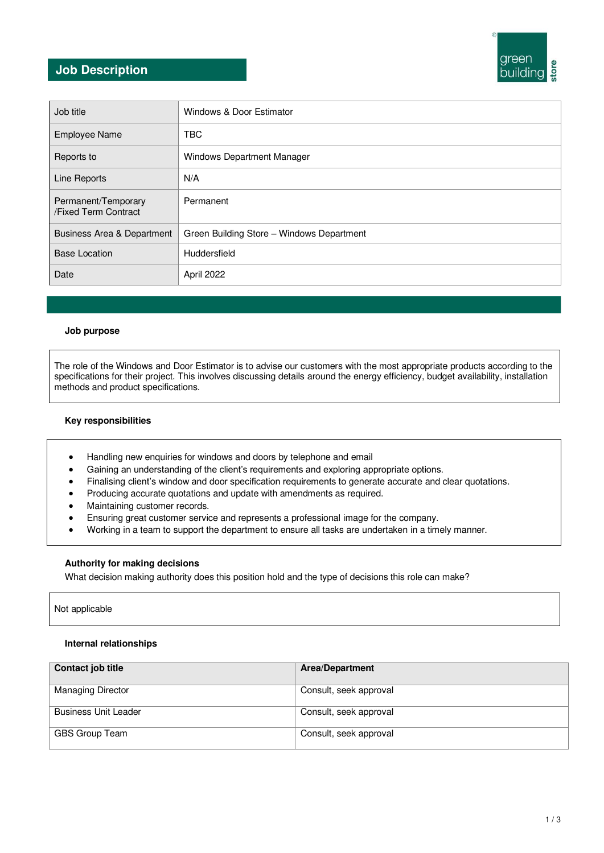# **Job Description**



| Job title                                   | Windows & Door Estimator                  |
|---------------------------------------------|-------------------------------------------|
| <b>Employee Name</b>                        | <b>TBC</b>                                |
| Reports to                                  | <b>Windows Department Manager</b>         |
| Line Reports                                | N/A                                       |
| Permanent/Temporary<br>/Fixed Term Contract | Permanent                                 |
| <b>Business Area &amp; Department</b>       | Green Building Store - Windows Department |
| <b>Base Location</b>                        | Huddersfield                              |
| Date                                        | April 2022                                |

#### **Job purpose**

The role of the Windows and Door Estimator is to advise our customers with the most appropriate products according to the specifications for their project. This involves discussing details around the energy efficiency, budget availability, installation methods and product specifications.

# **Key responsibilities**

- Handling new enquiries for windows and doors by telephone and email
- Gaining an understanding of the client's requirements and exploring appropriate options.
- Finalising client's window and door specification requirements to generate accurate and clear quotations.
- Producing accurate quotations and update with amendments as required.
- Maintaining customer records.
- Ensuring great customer service and represents a professional image for the company.
- Working in a team to support the department to ensure all tasks are undertaken in a timely manner.

# **Authority for making decisions**

What decision making authority does this position hold and the type of decisions this role can make?

Not applicable

#### **Internal relationships**

| Contact job title           | <b>Area/Department</b> |
|-----------------------------|------------------------|
| <b>Managing Director</b>    | Consult, seek approval |
| <b>Business Unit Leader</b> | Consult, seek approval |
| GBS Group Team              | Consult, seek approval |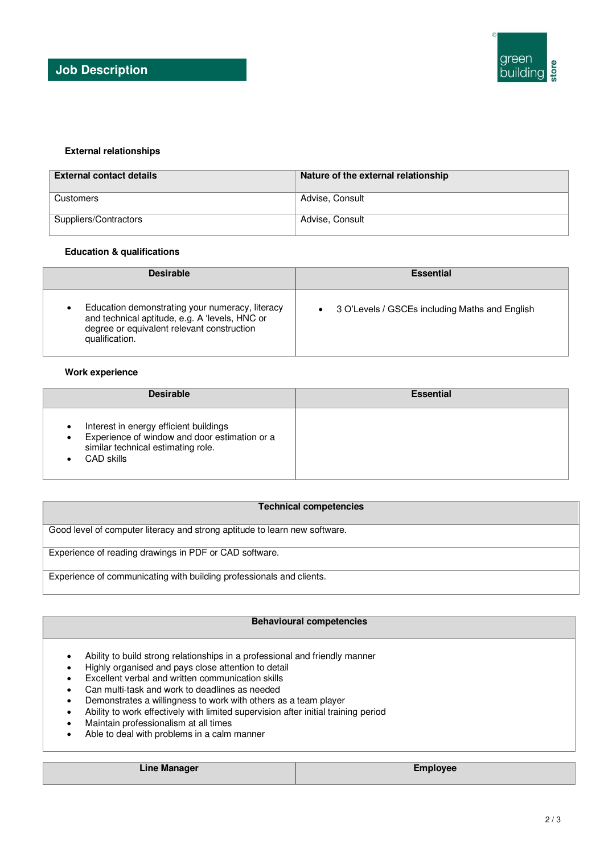# **External relationships**

| <b>External contact details</b> | Nature of the external relationship |
|---------------------------------|-------------------------------------|
| Customers                       | Advise, Consult                     |
| Suppliers/Contractors           | Advise, Consult                     |

#### **Education & qualifications**

| <b>Desirable</b>                                                                                                                                                  | <b>Essential</b>                                 |
|-------------------------------------------------------------------------------------------------------------------------------------------------------------------|--------------------------------------------------|
| Education demonstrating your numeracy, literacy<br>and technical aptitude, e.g. A 'levels, HNC or<br>degree or equivalent relevant construction<br>qualification. | • 3 O'Levels / GSCEs including Maths and English |

#### **Work experience**

| <b>Desirable</b>                                                                                                                                         | <b>Essential</b> |
|----------------------------------------------------------------------------------------------------------------------------------------------------------|------------------|
| Interest in energy efficient buildings<br>Experience of window and door estimation or a<br>$\bullet$<br>similar technical estimating role.<br>CAD skills |                  |

#### **Technical competencies**

Good level of computer literacy and strong aptitude to learn new software.

Experience of reading drawings in PDF or CAD software.

Experience of communicating with building professionals and clients.

#### **Behavioural competencies**

- Ability to build strong relationships in a professional and friendly manner
- Highly organised and pays close attention to detail
- Excellent verbal and written communication skills
- Can multi-task and work to deadlines as needed
- Demonstrates a willingness to work with others as a team player
- Ability to work effectively with limited supervision after initial training period
- Maintain professionalism at all times
- Able to deal with problems in a calm manner

| <b>Line Manager</b> | <b>Employee</b> |
|---------------------|-----------------|